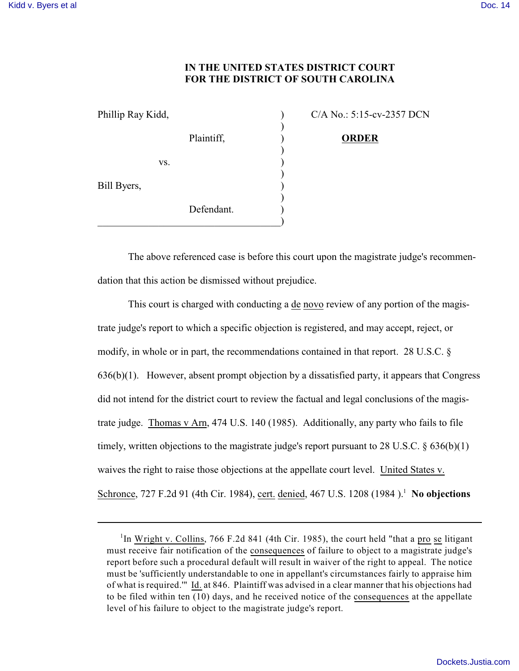## **IN THE UNITED STATES DISTRICT COURT FOR THE DISTRICT OF SOUTH CAROLINA**

| Phillip Ray Kidd, |            |  |
|-------------------|------------|--|
|                   |            |  |
|                   | Plaintiff, |  |
|                   |            |  |
| VS.               |            |  |
|                   |            |  |
| Bill Byers,       |            |  |
|                   | Defendant. |  |
|                   |            |  |

 $P(A No.: 5:15-cv-2357 DCN)$ 

Plaintiff, ) **ORDER**

The above referenced case is before this court upon the magistrate judge's recommendation that this action be dismissed without prejudice.

This court is charged with conducting a de novo review of any portion of the magistrate judge's report to which a specific objection is registered, and may accept, reject, or modify, in whole or in part, the recommendations contained in that report. 28 U.S.C. §  $636(b)(1)$ . However, absent prompt objection by a dissatisfied party, it appears that Congress did not intend for the district court to review the factual and legal conclusions of the magistrate judge. Thomas v Arn, 474 U.S. 140 (1985). Additionally, any party who fails to file timely, written objections to the magistrate judge's report pursuant to 28 U.S.C. § 636(b)(1) waives the right to raise those objections at the appellate court level. United States v. Schronce, 727 F.2d 91 (4th Cir. 1984), cert. denied, 467 U.S. 1208 (1984).<sup>1</sup> No objections

<sup>&</sup>lt;sup>1</sup>In Wright v. Collins, 766 F.2d 841 (4th Cir. 1985), the court held "that a pro se litigant" must receive fair notification of the consequences of failure to object to a magistrate judge's report before such a procedural default will result in waiver of the right to appeal. The notice must be 'sufficiently understandable to one in appellant's circumstances fairly to appraise him of what is required.'" Id. at 846. Plaintiff was advised in a clear manner that his objections had to be filed within ten (10) days, and he received notice of the consequences at the appellate level of his failure to object to the magistrate judge's report.